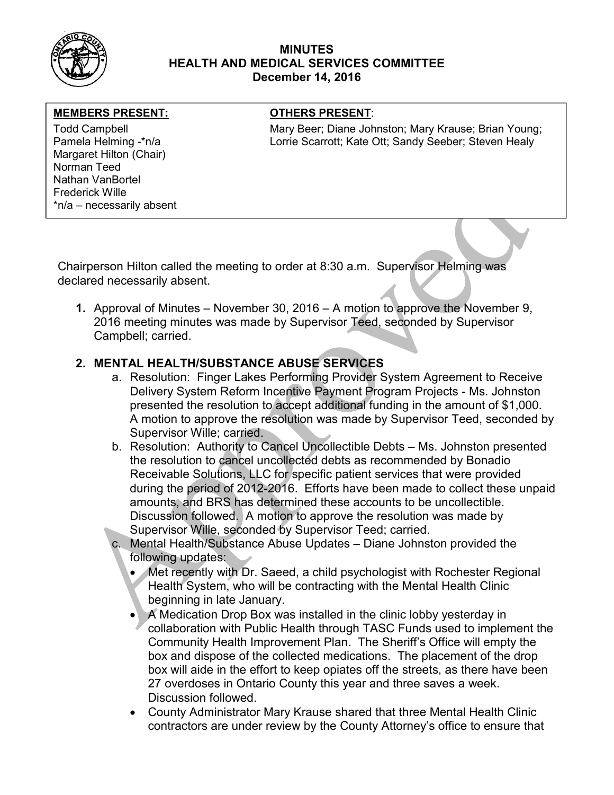

### MINUTES HEALTH AND MEDICAL SERVICES COMMITTEE December 14, 2016

#### MEMBERS PRESENT: **The OTHERS PRESENT:**

Margaret Hilton (Chair) Norman Teed Nathan VanBortel Frederick Wille \*n/a – necessarily absent

Todd Campbell **Mary Beer; Diane Johnston; Mary Krause**; Brian Young; Mary Krause; Brian Young; Pamela Helming -\*n/a **Lorrie Scarrott; Kate Ott; Sandy Seeber**; Steven Healy

Chairperson Hilton called the meeting to order at 8:30 a.m. Supervisor Helming was declared necessarily absent.

1. Approval of Minutes – November 30, 2016 – A motion to approve the November 9, 2016 meeting minutes was made by Supervisor Teed, seconded by Supervisor Campbell; carried.

## 2. MENTAL HEALTH/SUBSTANCE ABUSE SERVICES

- a. Resolution: Finger Lakes Performing Provider System Agreement to Receive Delivery System Reform Incentive Payment Program Projects - Ms. Johnston presented the resolution to accept additional funding in the amount of \$1,000. A motion to approve the resolution was made by Supervisor Teed, seconded by Supervisor Wille; carried.
- b. Resolution: Authority to Cancel Uncollectible Debts Ms. Johnston presented the resolution to cancel uncollected debts as recommended by Bonadio Receivable Solutions, LLC for specific patient services that were provided during the period of 2012-2016. Efforts have been made to collect these unpaid amounts, and BRS has determined these accounts to be uncollectible. Discussion followed. A motion to approve the resolution was made by Supervisor Wille, seconded by Supervisor Teed; carried.
- c. Mental Health/Substance Abuse Updates Diane Johnston provided the following updates:
	- Met recently with Dr. Saeed, a child psychologist with Rochester Regional Health System, who will be contracting with the Mental Health Clinic beginning in late January.
	- A Medication Drop Box was installed in the clinic lobby yesterday in collaboration with Public Health through TASC Funds used to implement the Community Health Improvement Plan. The Sheriff's Office will empty the box and dispose of the collected medications. The placement of the drop box will aide in the effort to keep opiates off the streets, as there have been 27 overdoses in Ontario County this year and three saves a week. Discussion followed.
	- County Administrator Mary Krause shared that three Mental Health Clinic contractors are under review by the County Attorney's office to ensure that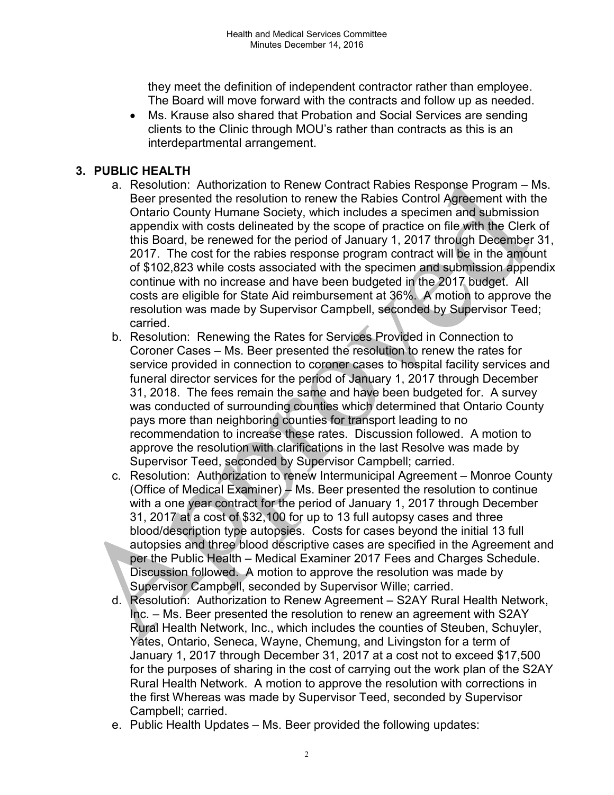they meet the definition of independent contractor rather than employee. The Board will move forward with the contracts and follow up as needed.

 Ms. Krause also shared that Probation and Social Services are sending clients to the Clinic through MOU's rather than contracts as this is an interdepartmental arrangement.

# 3. PUBLIC HEALTH

- a. Resolution: Authorization to Renew Contract Rabies Response Program Ms. Beer presented the resolution to renew the Rabies Control Agreement with the Ontario County Humane Society, which includes a specimen and submission appendix with costs delineated by the scope of practice on file with the Clerk of this Board, be renewed for the period of January 1, 2017 through December 31, 2017. The cost for the rabies response program contract will be in the amount of \$102,823 while costs associated with the specimen and submission appendix continue with no increase and have been budgeted in the 2017 budget. All costs are eligible for State Aid reimbursement at 36%. A motion to approve the resolution was made by Supervisor Campbell, seconded by Supervisor Teed; carried.
- b. Resolution: Renewing the Rates for Services Provided in Connection to Coroner Cases – Ms. Beer presented the resolution to renew the rates for service provided in connection to coroner cases to hospital facility services and funeral director services for the period of January 1, 2017 through December 31, 2018. The fees remain the same and have been budgeted for. A survey was conducted of surrounding counties which determined that Ontario County pays more than neighboring counties for transport leading to no recommendation to increase these rates. Discussion followed. A motion to approve the resolution with clarifications in the last Resolve was made by Supervisor Teed, seconded by Supervisor Campbell; carried.
- c. Resolution: Authorization to renew Intermunicipal Agreement Monroe County (Office of Medical Examiner) – Ms. Beer presented the resolution to continue with a one year contract for the period of January 1, 2017 through December 31, 2017 at a cost of \$32,100 for up to 13 full autopsy cases and three blood/description type autopsies. Costs for cases beyond the initial 13 full autopsies and three blood descriptive cases are specified in the Agreement and per the Public Health – Medical Examiner 2017 Fees and Charges Schedule. Discussion followed. A motion to approve the resolution was made by Supervisor Campbell, seconded by Supervisor Wille; carried.
- d. Resolution: Authorization to Renew Agreement S2AY Rural Health Network, Inc. – Ms. Beer presented the resolution to renew an agreement with S2AY Rural Health Network, Inc., which includes the counties of Steuben, Schuyler, Yates, Ontario, Seneca, Wayne, Chemung, and Livingston for a term of January 1, 2017 through December 31, 2017 at a cost not to exceed \$17,500 for the purposes of sharing in the cost of carrying out the work plan of the S2AY Rural Health Network. A motion to approve the resolution with corrections in the first Whereas was made by Supervisor Teed, seconded by Supervisor Campbell; carried.
- e. Public Health Updates Ms. Beer provided the following updates: